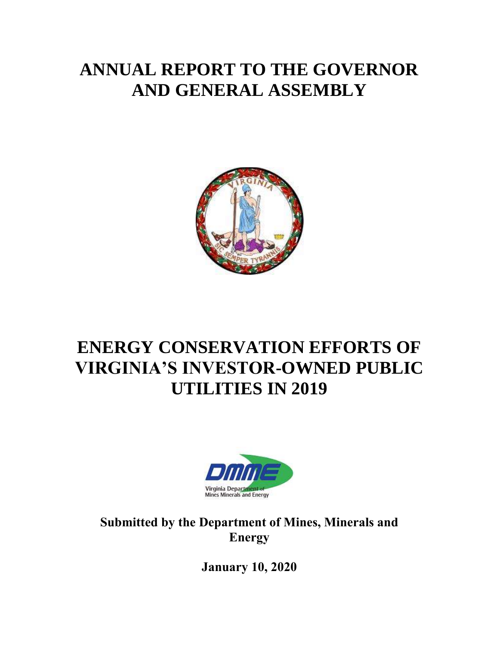# **ANNUAL REPORT TO THE GOVERNOR AND GENERAL ASSEMBLY**



# **ENERGY CONSERVATION EFFORTS OF VIRGINIA'S INVESTOR-OWNED PUBLIC UTILITIES IN 2019**



**Submitted by the Department of Mines, Minerals and Energy**

**January 10, 2020**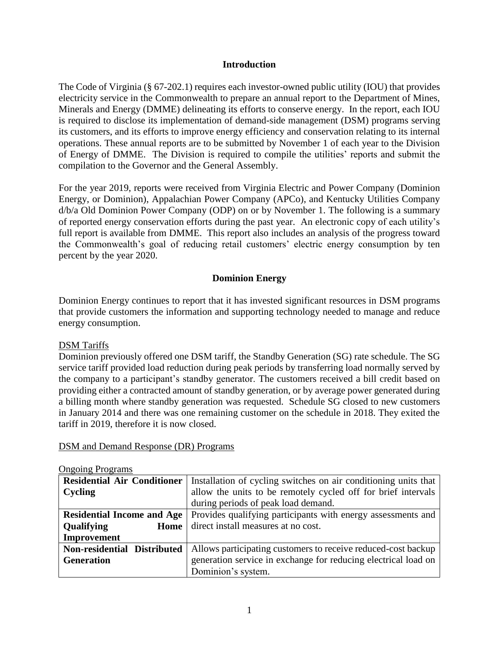### **Introduction**

The Code of Virginia (§ 67-202.1) requires each investor-owned public utility (IOU) that provides electricity service in the Commonwealth to prepare an annual report to the Department of Mines, Minerals and Energy (DMME) delineating its efforts to conserve energy. In the report, each IOU is required to disclose its implementation of demand-side management (DSM) programs serving its customers, and its efforts to improve energy efficiency and conservation relating to its internal operations. These annual reports are to be submitted by November 1 of each year to the Division of Energy of DMME. The Division is required to compile the utilities' reports and submit the compilation to the Governor and the General Assembly.

For the year 2019, reports were received from Virginia Electric and Power Company (Dominion Energy, or Dominion), Appalachian Power Company (APCo), and Kentucky Utilities Company d/b/a Old Dominion Power Company (ODP) on or by November 1. The following is a summary of reported energy conservation efforts during the past year. An electronic copy of each utility's full report is available from DMME. This report also includes an analysis of the progress toward the Commonwealth's goal of reducing retail customers' electric energy consumption by ten percent by the year 2020.

# **Dominion Energy**

Dominion Energy continues to report that it has invested significant resources in DSM programs that provide customers the information and supporting technology needed to manage and reduce energy consumption.

## DSM Tariffs

Dominion previously offered one DSM tariff, the Standby Generation (SG) rate schedule. The SG service tariff provided load reduction during peak periods by transferring load normally served by the company to a participant's standby generator. The customers received a bill credit based on providing either a contracted amount of standby generation, or by average power generated during a billing month where standby generation was requested. Schedule SG closed to new customers in January 2014 and there was one remaining customer on the schedule in 2018. They exited the tariff in 2019, therefore it is now closed.

#### DSM and Demand Response (DR) Programs

| $\sigma$ <sub>1,011</sub> $\sigma$ <sub>110</sub> $\sigma$ <sub>1</sub> $\sigma$ <sub>1111110</sub> |                                                                 |  |
|-----------------------------------------------------------------------------------------------------|-----------------------------------------------------------------|--|
| <b>Residential Air Conditioner</b>                                                                  | Installation of cycling switches on air conditioning units that |  |
| Cycling                                                                                             | allow the units to be remotely cycled off for brief intervals   |  |
|                                                                                                     | during periods of peak load demand.                             |  |
| <b>Residential Income and Age</b>                                                                   | Provides qualifying participants with energy assessments and    |  |
| Qualifying<br>Home                                                                                  | direct install measures at no cost.                             |  |
| Improvement                                                                                         |                                                                 |  |
| Non-residential Distributed                                                                         | Allows participating customers to receive reduced-cost backup   |  |
| <b>Generation</b>                                                                                   | generation service in exchange for reducing electrical load on  |  |
|                                                                                                     | Dominion's system.                                              |  |

#### Ongoing Programs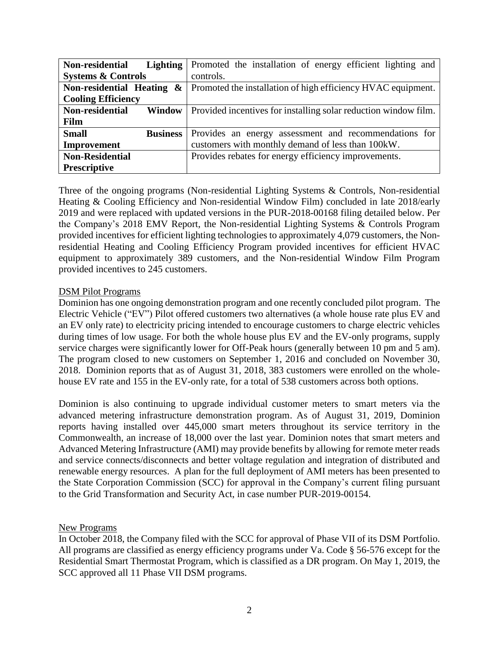| <b>Lighting</b><br>Non-residential | Promoted the installation of energy efficient lighting and      |
|------------------------------------|-----------------------------------------------------------------|
| <b>Systems &amp; Controls</b>      | controls.                                                       |
| Non-residential Heating $\&$       | Promoted the installation of high efficiency HVAC equipment.    |
| <b>Cooling Efficiency</b>          |                                                                 |
| Non-residential<br><b>Window</b>   | Provided incentives for installing solar reduction window film. |
| Film                               |                                                                 |
| <b>Small</b><br><b>Business</b>    | Provides an energy assessment and recommendations for           |
| Improvement                        | customers with monthly demand of less than 100kW.               |
| <b>Non-Residential</b>             | Provides rebates for energy efficiency improvements.            |
| <b>Prescriptive</b>                |                                                                 |

Three of the ongoing programs (Non-residential Lighting Systems & Controls, Non-residential Heating & Cooling Efficiency and Non-residential Window Film) concluded in late 2018/early 2019 and were replaced with updated versions in the PUR-2018-00168 filing detailed below. Per the Company's 2018 EMV Report, the Non-residential Lighting Systems & Controls Program provided incentives for efficient lighting technologies to approximately 4,079 customers, the Nonresidential Heating and Cooling Efficiency Program provided incentives for efficient HVAC equipment to approximately 389 customers, and the Non-residential Window Film Program provided incentives to 245 customers.

## DSM Pilot Programs

Dominion has one ongoing demonstration program and one recently concluded pilot program. The Electric Vehicle ("EV") Pilot offered customers two alternatives (a whole house rate plus EV and an EV only rate) to electricity pricing intended to encourage customers to charge electric vehicles during times of low usage. For both the whole house plus EV and the EV-only programs, supply service charges were significantly lower for Off-Peak hours (generally between 10 pm and 5 am). The program closed to new customers on September 1, 2016 and concluded on November 30, 2018. Dominion reports that as of August 31, 2018, 383 customers were enrolled on the wholehouse EV rate and 155 in the EV-only rate, for a total of 538 customers across both options.

Dominion is also continuing to upgrade individual customer meters to smart meters via the advanced metering infrastructure demonstration program. As of August 31, 2019, Dominion reports having installed over 445,000 smart meters throughout its service territory in the Commonwealth, an increase of 18,000 over the last year. Dominion notes that smart meters and Advanced Metering Infrastructure (AMI) may provide benefits by allowing for remote meter reads and service connects/disconnects and better voltage regulation and integration of distributed and renewable energy resources. A plan for the full deployment of AMI meters has been presented to the State Corporation Commission (SCC) for approval in the Company's current filing pursuant to the Grid Transformation and Security Act, in case number PUR-2019-00154.

#### New Programs

In October 2018, the Company filed with the SCC for approval of Phase VII of its DSM Portfolio. All programs are classified as energy efficiency programs under Va. Code § 56-576 except for the Residential Smart Thermostat Program, which is classified as a DR program. On May 1, 2019, the SCC approved all 11 Phase VII DSM programs.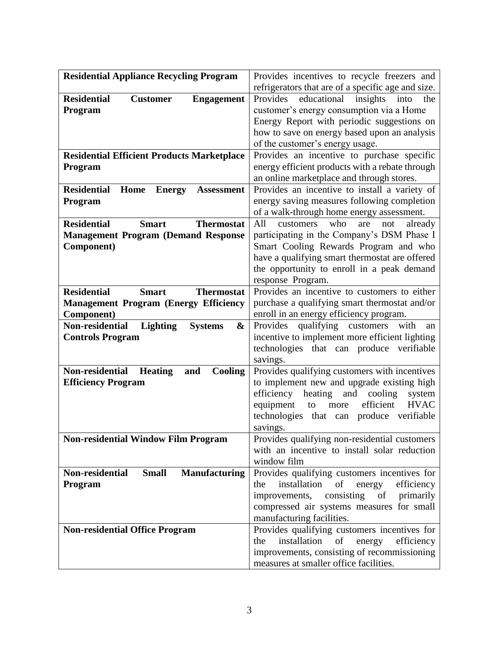| <b>Residential Appliance Recycling Program</b>             | Provides incentives to recycle freezers and                                                       |
|------------------------------------------------------------|---------------------------------------------------------------------------------------------------|
|                                                            | refrigerators that are of a specific age and size.                                                |
| <b>Residential</b><br><b>Customer</b><br><b>Engagement</b> | Provides<br>educational<br>insights<br>into<br>the                                                |
| Program                                                    | customer's energy consumption via a Home                                                          |
|                                                            | Energy Report with periodic suggestions on                                                        |
|                                                            | how to save on energy based upon an analysis                                                      |
|                                                            | of the customer's energy usage.                                                                   |
| <b>Residential Efficient Products Marketplace</b>          | Provides an incentive to purchase specific                                                        |
| Program                                                    | energy efficient products with a rebate through                                                   |
| <b>Residential</b>                                         | an online marketplace and through stores.                                                         |
| Home<br><b>Energy</b><br><b>Assessment</b>                 | Provides an incentive to install a variety of<br>energy saving measures following completion      |
| Program                                                    | of a walk-through home energy assessment.                                                         |
| <b>Residential</b><br><b>Smart</b><br><b>Thermostat</b>    | All<br>who<br>are<br>not<br>already<br>customers                                                  |
| <b>Management Program (Demand Response</b>                 | participating in the Company's DSM Phase I                                                        |
| Component)                                                 | Smart Cooling Rewards Program and who                                                             |
|                                                            | have a qualifying smart thermostat are offered                                                    |
|                                                            | the opportunity to enroll in a peak demand                                                        |
|                                                            | response Program.                                                                                 |
| <b>Residential</b><br><b>Thermostat</b><br><b>Smart</b>    | Provides an incentive to customers to either                                                      |
| <b>Management Program (Energy Efficiency</b>               | purchase a qualifying smart thermostat and/or                                                     |
| Component)                                                 | enroll in an energy efficiency program.                                                           |
| Non-residential<br><b>Lighting</b><br>&<br><b>Systems</b>  | Provides qualifying customers<br>with<br>an                                                       |
| <b>Controls Program</b>                                    | incentive to implement more efficient lighting<br>technologies that can produce<br>verifiable     |
|                                                            | savings.                                                                                          |
| Non-residential<br><b>Heating</b><br>Cooling<br>and        | Provides qualifying customers with incentives                                                     |
| <b>Efficiency Program</b>                                  | to implement new and upgrade existing high                                                        |
|                                                            | efficiency<br>heating<br>cooling<br>and<br>system                                                 |
|                                                            | efficient<br><b>HVAC</b><br>equipment<br>more<br>to                                               |
|                                                            | verifiable<br>technologies<br>that<br>produce<br>can                                              |
|                                                            | savings.                                                                                          |
| <b>Non-residential Window Film Program</b>                 | Provides qualifying non-residential customers                                                     |
|                                                            | with an incentive to install solar reduction                                                      |
| <b>Non-residential</b>                                     | window film                                                                                       |
| <b>Small</b><br><b>Manufacturing</b><br>Program            | Provides qualifying customers incentives for<br>installation<br>of<br>efficiency<br>the<br>energy |
|                                                            | of<br>consisting<br>primarily<br>improvements,                                                    |
|                                                            | compressed air systems measures for small                                                         |
|                                                            | manufacturing facilities.                                                                         |
| <b>Non-residential Office Program</b>                      | Provides qualifying customers incentives for                                                      |
|                                                            | installation<br>of<br>energy<br>the<br>efficiency                                                 |
|                                                            | improvements, consisting of recommissioning                                                       |
|                                                            | measures at smaller office facilities.                                                            |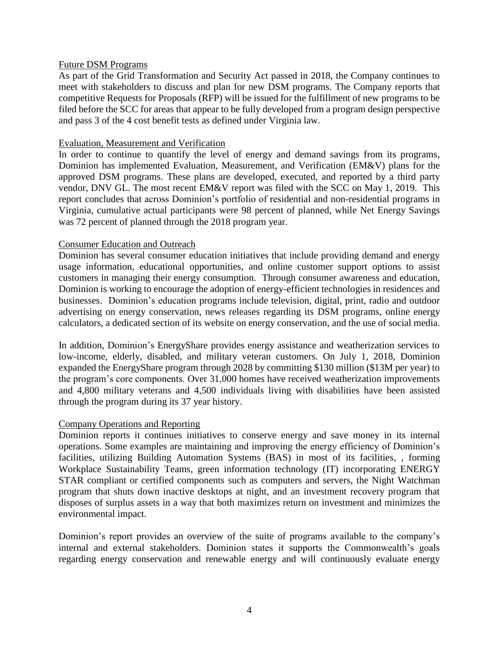#### Future DSM Programs

As part of the Grid Transformation and Security Act passed in 2018, the Company continues to meet with stakeholders to discuss and plan for new DSM programs. The Company reports that competitive Requests for Proposals (RFP) will be issued for the fulfillment of new programs to be filed before the SCC for areas that appear to be fully developed from a program design perspective and pass 3 of the 4 cost benefit tests as defined under Virginia law.

### Evaluation, Measurement and Verification

In order to continue to quantify the level of energy and demand savings from its programs, Dominion has implemented Evaluation, Measurement, and Verification (EM&V) plans for the approved DSM programs. These plans are developed, executed, and reported by a third party vendor, DNV GL. The most recent EM&V report was filed with the SCC on May 1, 2019. This report concludes that across Dominion's portfolio of residential and non-residential programs in Virginia, cumulative actual participants were 98 percent of planned, while Net Energy Savings was 72 percent of planned through the 2018 program year.

#### Consumer Education and Outreach

Dominion has several consumer education initiatives that include providing demand and energy usage information, educational opportunities, and online customer support options to assist customers in managing their energy consumption. Through consumer awareness and education, Dominion is working to encourage the adoption of energy-efficient technologies in residences and businesses. Dominion's education programs include television, digital, print, radio and outdoor advertising on energy conservation, news releases regarding its DSM programs, online energy calculators, a dedicated section of its website on energy conservation, and the use of social media.

In addition, Dominion's EnergyShare provides energy assistance and weatherization services to low-income, elderly, disabled, and military veteran customers. On July 1, 2018, Dominion expanded the EnergyShare program through 2028 by committing \$130 million (\$13M per year) to the program's core components. Over 31,000 homes have received weatherization improvements and 4,800 military veterans and 4,500 individuals living with disabilities have been assisted through the program during its 37 year history.

#### Company Operations and Reporting

Dominion reports it continues initiatives to conserve energy and save money in its internal operations. Some examples are maintaining and improving the energy efficiency of Dominion's facilities, utilizing Building Automation Systems (BAS) in most of its facilities, , forming Workplace Sustainability Teams, green information technology (IT) incorporating ENERGY STAR compliant or certified components such as computers and servers, the Night Watchman program that shuts down inactive desktops at night, and an investment recovery program that disposes of surplus assets in a way that both maximizes return on investment and minimizes the environmental impact.

Dominion's report provides an overview of the suite of programs available to the company's internal and external stakeholders. Dominion states it supports the Commonwealth's goals regarding energy conservation and renewable energy and will continuously evaluate energy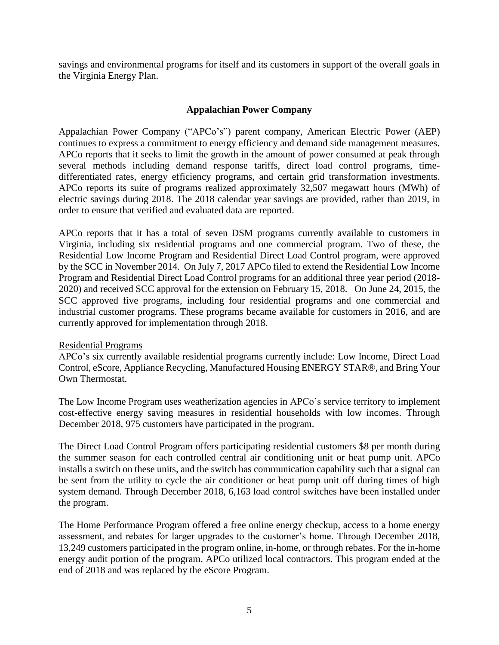savings and environmental programs for itself and its customers in support of the overall goals in the Virginia Energy Plan.

# **Appalachian Power Company**

Appalachian Power Company ("APCo's") parent company, American Electric Power (AEP) continues to express a commitment to energy efficiency and demand side management measures. APCo reports that it seeks to limit the growth in the amount of power consumed at peak through several methods including demand response tariffs, direct load control programs, timedifferentiated rates, energy efficiency programs, and certain grid transformation investments. APCo reports its suite of programs realized approximately 32,507 megawatt hours (MWh) of electric savings during 2018. The 2018 calendar year savings are provided, rather than 2019, in order to ensure that verified and evaluated data are reported.

APCo reports that it has a total of seven DSM programs currently available to customers in Virginia, including six residential programs and one commercial program. Two of these, the Residential Low Income Program and Residential Direct Load Control program, were approved by the SCC in November 2014. On July 7, 2017 APCo filed to extend the Residential Low Income Program and Residential Direct Load Control programs for an additional three year period (2018- 2020) and received SCC approval for the extension on February 15, 2018. On June 24, 2015, the SCC approved five programs, including four residential programs and one commercial and industrial customer programs. These programs became available for customers in 2016, and are currently approved for implementation through 2018.

## Residential Programs

APCo's six currently available residential programs currently include: Low Income, Direct Load Control, eScore, Appliance Recycling, Manufactured Housing ENERGY STAR®, and Bring Your Own Thermostat.

The Low Income Program uses weatherization agencies in APCo's service territory to implement cost-effective energy saving measures in residential households with low incomes. Through December 2018, 975 customers have participated in the program.

The Direct Load Control Program offers participating residential customers \$8 per month during the summer season for each controlled central air conditioning unit or heat pump unit. APCo installs a switch on these units, and the switch has communication capability such that a signal can be sent from the utility to cycle the air conditioner or heat pump unit off during times of high system demand. Through December 2018, 6,163 load control switches have been installed under the program.

The Home Performance Program offered a free online energy checkup, access to a home energy assessment, and rebates for larger upgrades to the customer's home. Through December 2018, 13,249 customers participated in the program online, in-home, or through rebates. For the in-home energy audit portion of the program, APCo utilized local contractors. This program ended at the end of 2018 and was replaced by the eScore Program.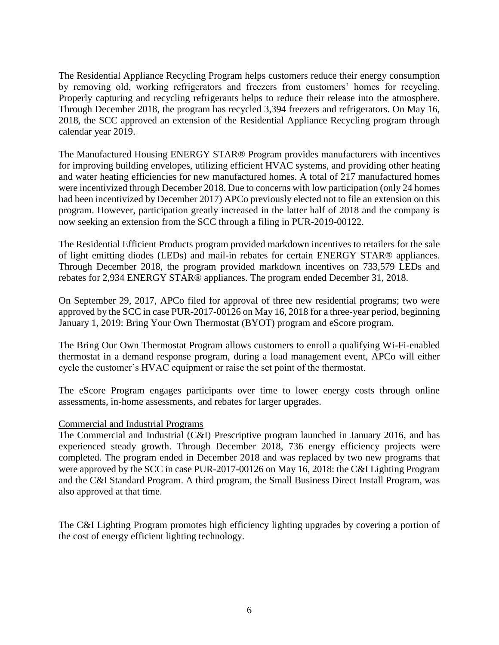The Residential Appliance Recycling Program helps customers reduce their energy consumption by removing old, working refrigerators and freezers from customers' homes for recycling. Properly capturing and recycling refrigerants helps to reduce their release into the atmosphere. Through December 2018, the program has recycled 3,394 freezers and refrigerators. On May 16, 2018, the SCC approved an extension of the Residential Appliance Recycling program through calendar year 2019.

The Manufactured Housing ENERGY STAR® Program provides manufacturers with incentives for improving building envelopes, utilizing efficient HVAC systems, and providing other heating and water heating efficiencies for new manufactured homes. A total of 217 manufactured homes were incentivized through December 2018. Due to concerns with low participation (only 24 homes had been incentivized by December 2017) APCo previously elected not to file an extension on this program. However, participation greatly increased in the latter half of 2018 and the company is now seeking an extension from the SCC through a filing in PUR-2019-00122.

The Residential Efficient Products program provided markdown incentives to retailers for the sale of light emitting diodes (LEDs) and mail-in rebates for certain ENERGY STAR® appliances. Through December 2018, the program provided markdown incentives on 733,579 LEDs and rebates for 2,934 ENERGY STAR® appliances. The program ended December 31, 2018.

On September 29, 2017, APCo filed for approval of three new residential programs; two were approved by the SCC in case PUR-2017-00126 on May 16, 2018 for a three-year period, beginning January 1, 2019: Bring Your Own Thermostat (BYOT) program and eScore program.

The Bring Our Own Thermostat Program allows customers to enroll a qualifying Wi-Fi-enabled thermostat in a demand response program, during a load management event, APCo will either cycle the customer's HVAC equipment or raise the set point of the thermostat.

The eScore Program engages participants over time to lower energy costs through online assessments, in-home assessments, and rebates for larger upgrades.

## Commercial and Industrial Programs

The Commercial and Industrial (C&I) Prescriptive program launched in January 2016, and has experienced steady growth. Through December 2018, 736 energy efficiency projects were completed. The program ended in December 2018 and was replaced by two new programs that were approved by the SCC in case PUR-2017-00126 on May 16, 2018: the C&I Lighting Program and the C&I Standard Program. A third program, the Small Business Direct Install Program, was also approved at that time.

The C&I Lighting Program promotes high efficiency lighting upgrades by covering a portion of the cost of energy efficient lighting technology.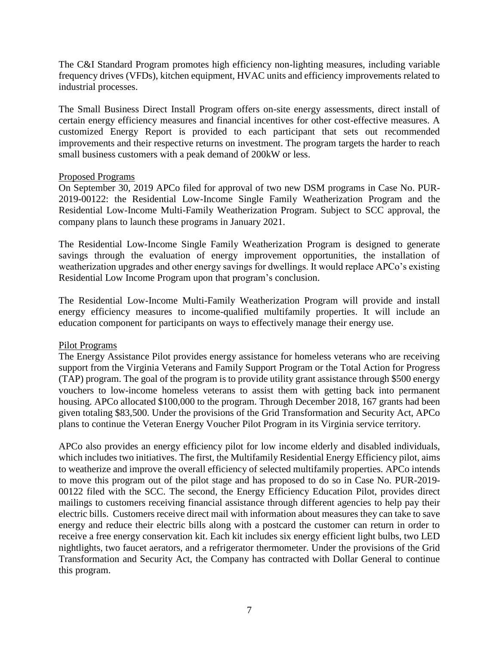The C&I Standard Program promotes high efficiency non-lighting measures, including variable frequency drives (VFDs), kitchen equipment, HVAC units and efficiency improvements related to industrial processes.

The Small Business Direct Install Program offers on-site energy assessments, direct install of certain energy efficiency measures and financial incentives for other cost-effective measures. A customized Energy Report is provided to each participant that sets out recommended improvements and their respective returns on investment. The program targets the harder to reach small business customers with a peak demand of 200kW or less.

## Proposed Programs

On September 30, 2019 APCo filed for approval of two new DSM programs in Case No. PUR-2019-00122: the Residential Low-Income Single Family Weatherization Program and the Residential Low-Income Multi-Family Weatherization Program. Subject to SCC approval, the company plans to launch these programs in January 2021.

The Residential Low-Income Single Family Weatherization Program is designed to generate savings through the evaluation of energy improvement opportunities, the installation of weatherization upgrades and other energy savings for dwellings. It would replace APCo's existing Residential Low Income Program upon that program's conclusion.

The Residential Low-Income Multi-Family Weatherization Program will provide and install energy efficiency measures to income-qualified multifamily properties. It will include an education component for participants on ways to effectively manage their energy use.

# Pilot Programs

The Energy Assistance Pilot provides energy assistance for homeless veterans who are receiving support from the Virginia Veterans and Family Support Program or the Total Action for Progress (TAP) program. The goal of the program is to provide utility grant assistance through \$500 energy vouchers to low-income homeless veterans to assist them with getting back into permanent housing. APCo allocated \$100,000 to the program. Through December 2018, 167 grants had been given totaling \$83,500. Under the provisions of the Grid Transformation and Security Act, APCo plans to continue the Veteran Energy Voucher Pilot Program in its Virginia service territory.

APCo also provides an energy efficiency pilot for low income elderly and disabled individuals, which includes two initiatives. The first, the Multifamily Residential Energy Efficiency pilot, aims to weatherize and improve the overall efficiency of selected multifamily properties. APCo intends to move this program out of the pilot stage and has proposed to do so in Case No. PUR-2019- 00122 filed with the SCC. The second, the Energy Efficiency Education Pilot, provides direct mailings to customers receiving financial assistance through different agencies to help pay their electric bills. Customers receive direct mail with information about measures they can take to save energy and reduce their electric bills along with a postcard the customer can return in order to receive a free energy conservation kit. Each kit includes six energy efficient light bulbs, two LED nightlights, two faucet aerators, and a refrigerator thermometer. Under the provisions of the Grid Transformation and Security Act, the Company has contracted with Dollar General to continue this program.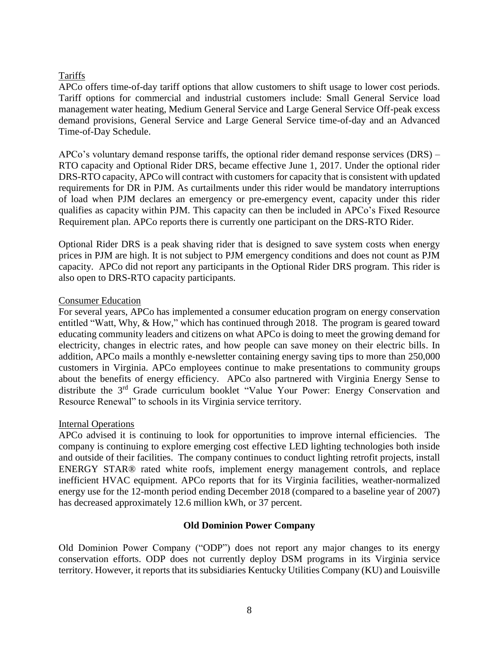# Tariffs

APCo offers time-of-day tariff options that allow customers to shift usage to lower cost periods. Tariff options for commercial and industrial customers include: Small General Service load management water heating, Medium General Service and Large General Service Off-peak excess demand provisions, General Service and Large General Service time-of-day and an Advanced Time-of-Day Schedule.

APCo's voluntary demand response tariffs, the optional rider demand response services (DRS) – RTO capacity and Optional Rider DRS, became effective June 1, 2017. Under the optional rider DRS-RTO capacity, APCo will contract with customers for capacity that is consistent with updated requirements for DR in PJM. As curtailments under this rider would be mandatory interruptions of load when PJM declares an emergency or pre-emergency event, capacity under this rider qualifies as capacity within PJM. This capacity can then be included in APCo's Fixed Resource Requirement plan. APCo reports there is currently one participant on the DRS-RTO Rider.

Optional Rider DRS is a peak shaving rider that is designed to save system costs when energy prices in PJM are high. It is not subject to PJM emergency conditions and does not count as PJM capacity. APCo did not report any participants in the Optional Rider DRS program. This rider is also open to DRS-RTO capacity participants.

# Consumer Education

For several years, APCo has implemented a consumer education program on energy conservation entitled "Watt, Why, & How," which has continued through 2018. The program is geared toward educating community leaders and citizens on what APCo is doing to meet the growing demand for electricity, changes in electric rates, and how people can save money on their electric bills. In addition, APCo mails a monthly e-newsletter containing energy saving tips to more than 250,000 customers in Virginia. APCo employees continue to make presentations to community groups about the benefits of energy efficiency. APCo also partnered with Virginia Energy Sense to distribute the 3rd Grade curriculum booklet "Value Your Power: Energy Conservation and Resource Renewal" to schools in its Virginia service territory.

# Internal Operations

APCo advised it is continuing to look for opportunities to improve internal efficiencies. The company is continuing to explore emerging cost effective LED lighting technologies both inside and outside of their facilities. The company continues to conduct lighting retrofit projects, install ENERGY STAR® rated white roofs, implement energy management controls, and replace inefficient HVAC equipment. APCo reports that for its Virginia facilities, weather-normalized energy use for the 12-month period ending December 2018 (compared to a baseline year of 2007) has decreased approximately 12.6 million kWh, or 37 percent.

# **Old Dominion Power Company**

Old Dominion Power Company ("ODP") does not report any major changes to its energy conservation efforts. ODP does not currently deploy DSM programs in its Virginia service territory. However, it reports that its subsidiaries Kentucky Utilities Company (KU) and Louisville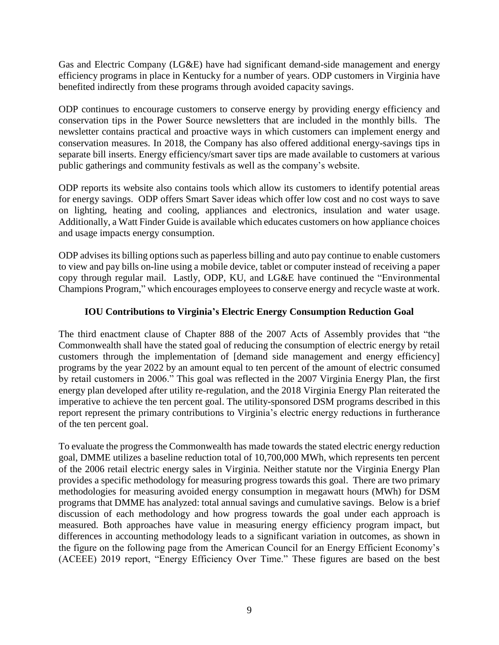Gas and Electric Company (LG&E) have had significant demand-side management and energy efficiency programs in place in Kentucky for a number of years. ODP customers in Virginia have benefited indirectly from these programs through avoided capacity savings.

ODP continues to encourage customers to conserve energy by providing energy efficiency and conservation tips in the Power Source newsletters that are included in the monthly bills. The newsletter contains practical and proactive ways in which customers can implement energy and conservation measures. In 2018, the Company has also offered additional energy-savings tips in separate bill inserts. Energy efficiency/smart saver tips are made available to customers at various public gatherings and community festivals as well as the company's website.

ODP reports its website also contains tools which allow its customers to identify potential areas for energy savings. ODP offers Smart Saver ideas which offer low cost and no cost ways to save on lighting, heating and cooling, appliances and electronics, insulation and water usage. Additionally, a Watt Finder Guide is available which educates customers on how appliance choices and usage impacts energy consumption.

ODP advises its billing options such as paperless billing and auto pay continue to enable customers to view and pay bills on-line using a mobile device, tablet or computer instead of receiving a paper copy through regular mail. Lastly, ODP, KU, and LG&E have continued the "Environmental Champions Program," which encourages employees to conserve energy and recycle waste at work.

# **IOU Contributions to Virginia's Electric Energy Consumption Reduction Goal**

The third enactment clause of Chapter 888 of the 2007 Acts of Assembly provides that "the Commonwealth shall have the stated goal of reducing the consumption of electric energy by retail customers through the implementation of [demand side management and energy efficiency] programs by the year 2022 by an amount equal to ten percent of the amount of electric consumed by retail customers in 2006." This goal was reflected in the 2007 Virginia Energy Plan, the first energy plan developed after utility re-regulation, and the 2018 Virginia Energy Plan reiterated the imperative to achieve the ten percent goal. The utility-sponsored DSM programs described in this report represent the primary contributions to Virginia's electric energy reductions in furtherance of the ten percent goal.

To evaluate the progress the Commonwealth has made towards the stated electric energy reduction goal, DMME utilizes a baseline reduction total of 10,700,000 MWh, which represents ten percent of the 2006 retail electric energy sales in Virginia. Neither statute nor the Virginia Energy Plan provides a specific methodology for measuring progress towards this goal. There are two primary methodologies for measuring avoided energy consumption in megawatt hours (MWh) for DSM programs that DMME has analyzed: total annual savings and cumulative savings. Below is a brief discussion of each methodology and how progress towards the goal under each approach is measured. Both approaches have value in measuring energy efficiency program impact, but differences in accounting methodology leads to a significant variation in outcomes, as shown in the figure on the following page from the American Council for an Energy Efficient Economy's (ACEEE) 2019 report, "Energy Efficiency Over Time." These figures are based on the best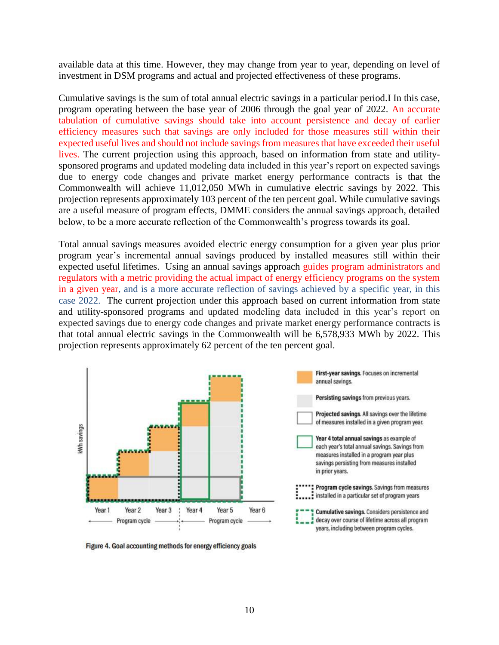available data at this time. However, they may change from year to year, depending on level of investment in DSM programs and actual and projected effectiveness of these programs.

Cumulative savings is the sum of total annual electric savings in a particular period.I In this case, program operating between the base year of 2006 through the goal year of 2022. An accurate tabulation of cumulative savings should take into account persistence and decay of earlier efficiency measures such that savings are only included for those measures still within their expected useful lives and should not include savings from measures that have exceeded their useful lives. The current projection using this approach, based on information from state and utilitysponsored programs and updated modeling data included in this year's report on expected savings due to energy code changes and private market energy performance contracts is that the Commonwealth will achieve 11,012,050 MWh in cumulative electric savings by 2022. This projection represents approximately 103 percent of the ten percent goal. While cumulative savings are a useful measure of program effects, DMME considers the annual savings approach, detailed below, to be a more accurate reflection of the Commonwealth's progress towards its goal.

Total annual savings measures avoided electric energy consumption for a given year plus prior program year's incremental annual savings produced by installed measures still within their expected useful lifetimes. Using an annual savings approach guides program administrators and regulators with a metric providing the actual impact of energy efficiency programs on the system in a given year, and is a more accurate reflection of savings achieved by a specific year, in this case 2022. The current projection under this approach based on current information from state and utility-sponsored programs and updated modeling data included in this year's report on expected savings due to energy code changes and private market energy performance contracts is that total annual electric savings in the Commonwealth will be 6,578,933 MWh by 2022. This projection represents approximately 62 percent of the ten percent goal.



Figure 4. Goal accounting methods for energy efficiency goals